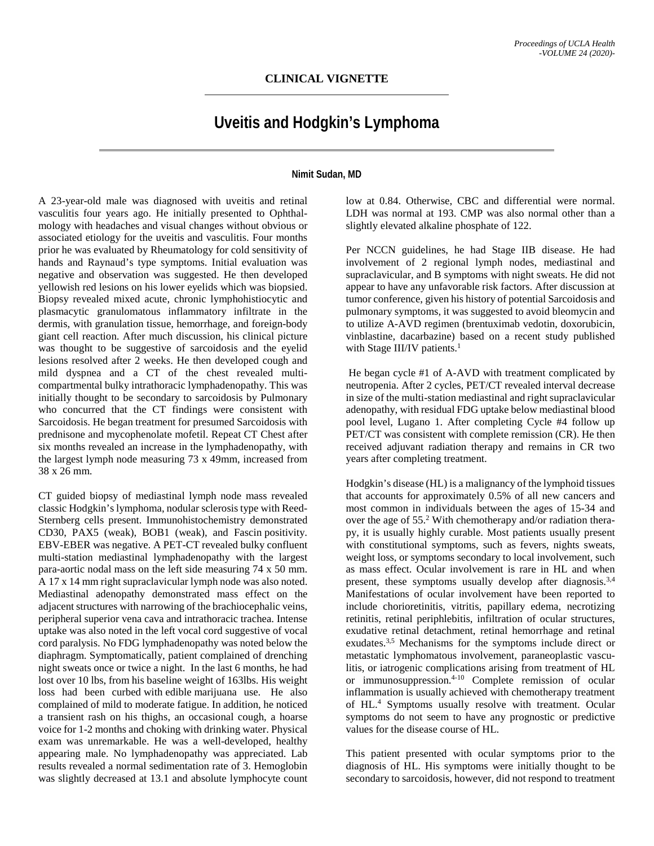## **Uveitis and Hodgkin's Lymphoma**

## **Nimit Sudan, MD**

A 23-year-old male was diagnosed with uveitis and retinal vasculitis four years ago. He initially presented to Ophthalmology with headaches and visual changes without obvious or associated etiology for the uveitis and vasculitis. Four months prior he was evaluated by Rheumatology for cold sensitivity of hands and Raynaud's type symptoms. Initial evaluation was negative and observation was suggested. He then developed yellowish red lesions on his lower eyelids which was biopsied. Biopsy revealed mixed acute, chronic lymphohistiocytic and plasmacytic granulomatous inflammatory infiltrate in the dermis, with granulation tissue, hemorrhage, and foreign-body giant cell reaction. After much discussion, his clinical picture was thought to be suggestive of sarcoidosis and the eyelid lesions resolved after 2 weeks. He then developed cough and mild dyspnea and a CT of the chest revealed multicompartmental bulky intrathoracic lymphadenopathy. This was initially thought to be secondary to sarcoidosis by Pulmonary who concurred that the CT findings were consistent with Sarcoidosis. He began treatment for presumed Sarcoidosis with prednisone and mycophenolate mofetil. Repeat CT Chest after six months revealed an increase in the lymphadenopathy, with the largest lymph node measuring 73 x 49mm, increased from 38 x 26 mm.

CT guided biopsy of mediastinal lymph node mass revealed classic Hodgkin's lymphoma, nodular sclerosis type with Reed-Sternberg cells present. Immunohistochemistry demonstrated CD30, PAX5 (weak), BOB1 (weak), and Fascin positivity. EBV-EBER was negative. A PET-CT revealed bulky confluent multi-station mediastinal lymphadenopathy with the largest para-aortic nodal mass on the left side measuring 74 x 50 mm. A 17 x 14 mm right supraclavicular lymph node was also noted. Mediastinal adenopathy demonstrated mass effect on the adjacent structures with narrowing of the brachiocephalic veins, peripheral superior vena cava and intrathoracic trachea. Intense uptake was also noted in the left vocal cord suggestive of vocal cord paralysis. No FDG lymphadenopathy was noted below the diaphragm. Symptomatically, patient complained of drenching night sweats once or twice a night. In the last 6 months, he had lost over 10 lbs, from his baseline weight of 163lbs. His weight loss had been curbed with edible marijuana use. He also complained of mild to moderate fatigue. In addition, he noticed a transient rash on his thighs, an occasional cough, a hoarse voice for 1-2 months and choking with drinking water. Physical exam was unremarkable. He was a well-developed, healthy appearing male. No lymphadenopathy was appreciated. Lab results revealed a normal sedimentation rate of 3. Hemoglobin was slightly decreased at 13.1 and absolute lymphocyte count

low at 0.84. Otherwise, CBC and differential were normal. LDH was normal at 193. CMP was also normal other than a slightly elevated alkaline phosphate of 122.

Per NCCN guidelines, he had Stage IIB disease. He had involvement of 2 regional lymph nodes, mediastinal and supraclavicular, and B symptoms with night sweats. He did not appear to have any unfavorable risk factors. After discussion at tumor conference, given his history of potential Sarcoidosis and pulmonary symptoms, it was suggested to avoid bleomycin and to utilize A-AVD regimen (brentuximab vedotin, doxorubicin, vinblastine, dacarbazine) based on a recent study published with Stage III/IV patients. 1

He began cycle #1 of A-AVD with treatment complicated by neutropenia. After 2 cycles, PET/CT revealed interval decrease in size of the multi-station mediastinal and right supraclavicular adenopathy, with residual FDG uptake below mediastinal blood pool level, Lugano 1. After completing Cycle #4 follow up PET/CT was consistent with complete remission (CR). He then received adjuvant radiation therapy and remains in CR two years after completing treatment.

Hodgkin's disease (HL) is a malignancy of the lymphoid tissues that accounts for approximately 0.5% of all new cancers and most common in individuals between the ages of 15-34 and over the age of 55. <sup>2</sup> With chemotherapy and/or radiation therapy, it is usually highly curable. Most patients usually present with constitutional symptoms, such as fevers, nights sweats, weight loss, or symptoms secondary to local involvement, such as mass effect. Ocular involvement is rare in HL and when present, these symptoms usually develop after diagnosis.<sup>3,4</sup> Manifestations of ocular involvement have been reported to include chorioretinitis, vitritis, papillary edema, necrotizing retinitis, retinal periphlebitis, infiltration of ocular structures, exudative retinal detachment, retinal hemorrhage and retinal exudates.<sup>3,5</sup> Mechanisms for the symptoms include direct or metastatic lymphomatous involvement, paraneoplastic vasculitis, or iatrogenic complications arising from treatment of HL or immunosuppression. 4-10 Complete remission of ocular inflammation is usually achieved with chemotherapy treatment of HL. <sup>4</sup> Symptoms usually resolve with treatment. Ocular symptoms do not seem to have any prognostic or predictive values for the disease course of HL.

This patient presented with ocular symptoms prior to the diagnosis of HL. His symptoms were initially thought to be secondary to sarcoidosis, however, did not respond to treatment